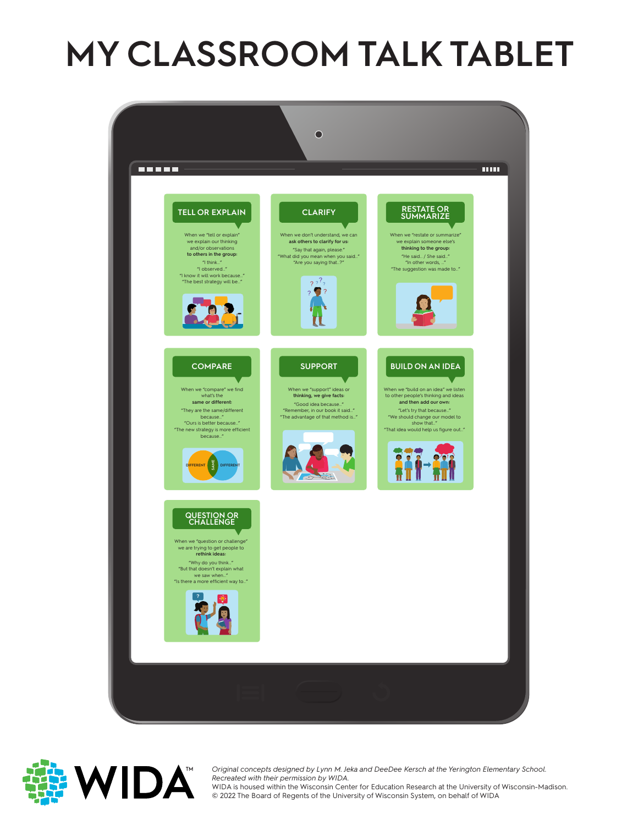# **MY CLASSROOM TALK TABLET**





Original concepts designed by Lynn M. Je<br>Recreated with their permission by WIDA. *Original concepts designed by Lynn M. Jeka and DeeDee Kersch at the Yerington Elementary School.*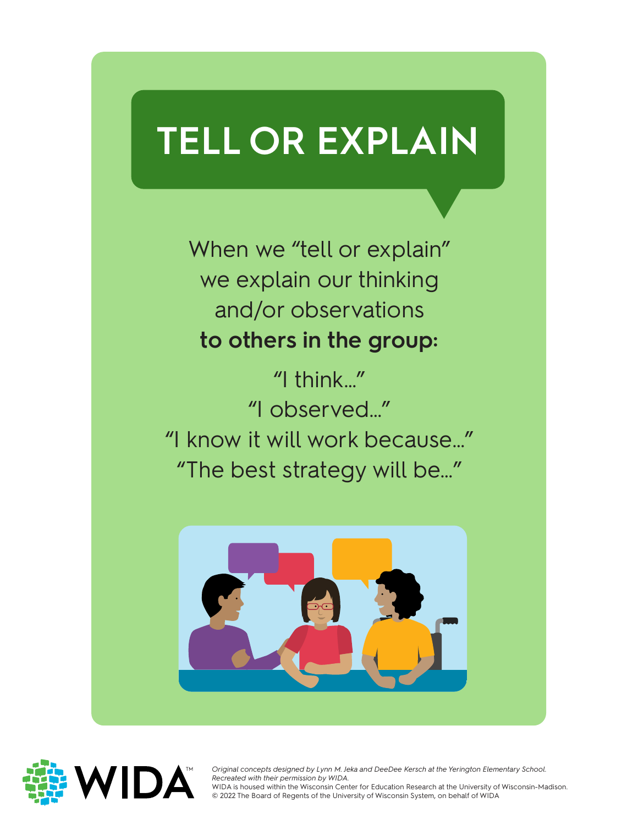## **TELL OR EXPLAIN**

When we "tell or explain" we explain our thinking and/or observations **to others in the group:**

"I think…" "I observed…" "I know it will work because…" "The best strategy will be…"





Original concepts designed by Lynn M. Je<br>Recreated with their permission by WIDA. *Original concepts designed by Lynn M. Jeka and DeeDee Kersch at the Yerington Elementary School.*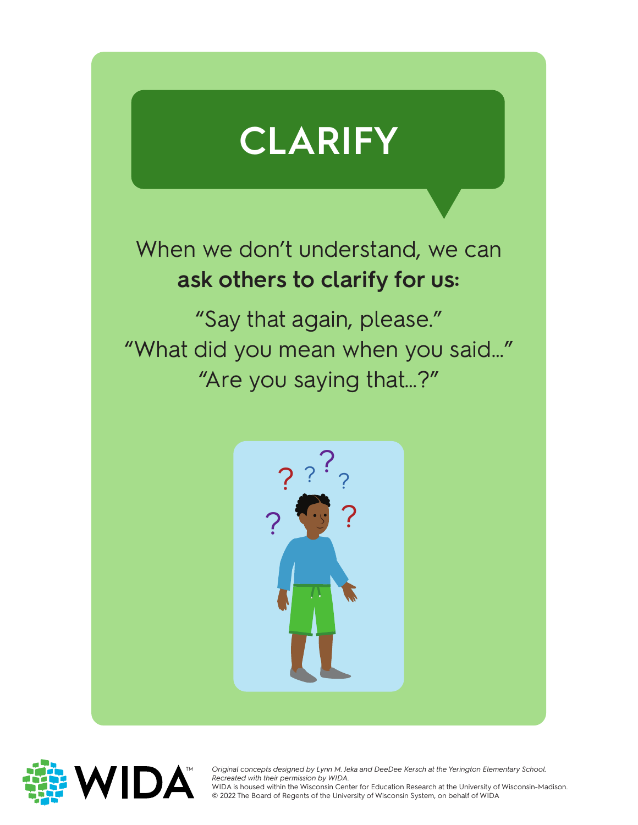

When we don't understand, we can **ask others to clarify for us:**

"Say that again, please." "What did you mean when you said…" "Are you saying that…?"





Original concepts designed by Lynn M. Je<br>Recreated with their permission by WIDA. *Original concepts designed by Lynn M. Jeka and DeeDee Kersch at the Yerington Elementary School.*  WIDA is housed within the Wisconsin Center for Education Research at the University of Wisconsin-Madison.

WIDA is housed within the Wisconsin Center for Education Research at the University of<br>© 2022 The Board of Regents of the University of Wisconsin System, on behalf of WIDA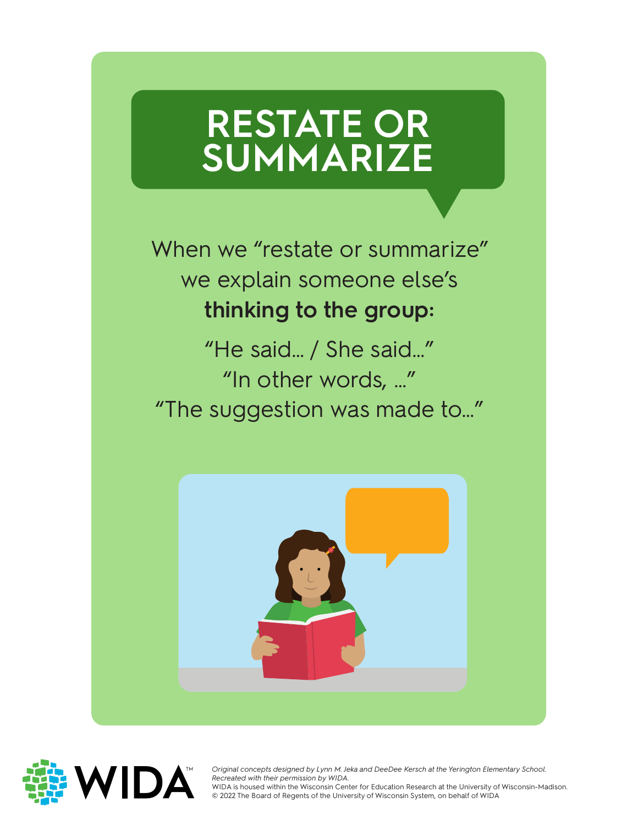### **RESTATE OR SUMMARIZE**

When we "restate or summarize" we explain someone else's **thinking to the group:**

"He said… / She said…" "In other words, …" "The suggestion was made to…"





Original concepts designed by Lynn M. Je<br>Recreated with their permission by WIDA. *Original concepts designed by Lynn M. Jeka and DeeDee Kersch at the Yerington Elementary School.*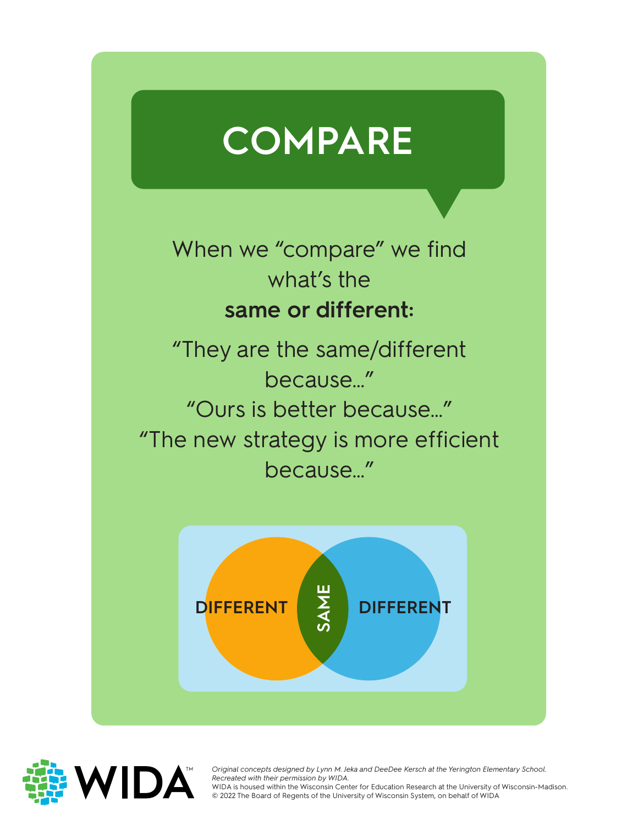

When we "compare" we find what's the **same or different:**

"They are the same/different because…" "Ours is better because…" "The new strategy is more efficient because…"





Original concepts designed by Lynn M. Jeka and DeeDee Kersch at the Yerington Elementary School.<br>Recreated with their permission by WIDA. *Recreated with their permission by WIDA.*

WIDA is housed within the Wisconsin Center for Education Research at the University of Wisconsin-Madison.<br>© 2022 The Board of Regents of the University of Wisconsin System, on behalf of WIDA © 2022 The Board of Regents of the University of Wisconsin System, on behalf of WIDA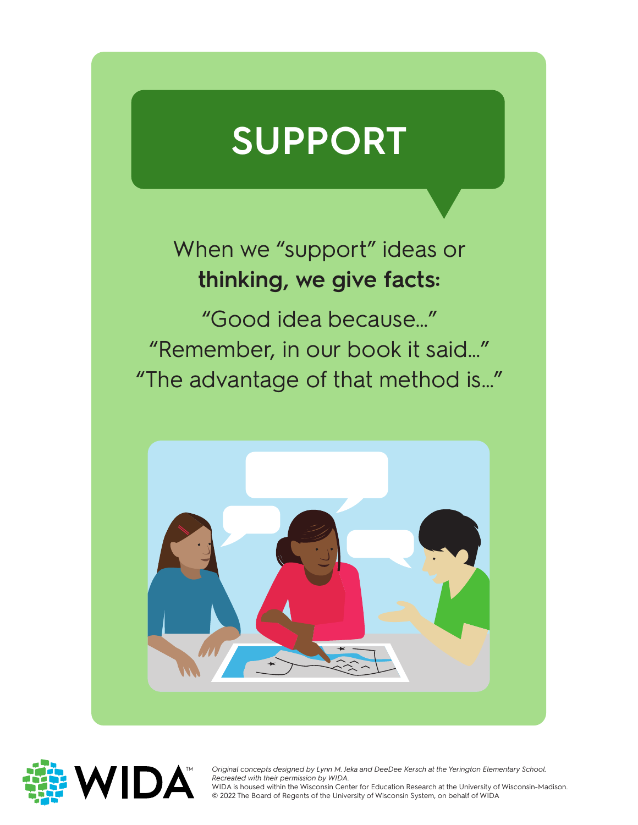## **SUPPORT**

#### When we "support" ideas or **thinking, we give facts:**

"Good idea because…" "Remember, in our book it said…" "The advantage of that method is…"





Original concepts designed by Lynn M. Je<br>Recreated with their permission by WIDA. *Original concepts designed by Lynn M. Jeka and DeeDee Kersch at the Yerington Elementary School.*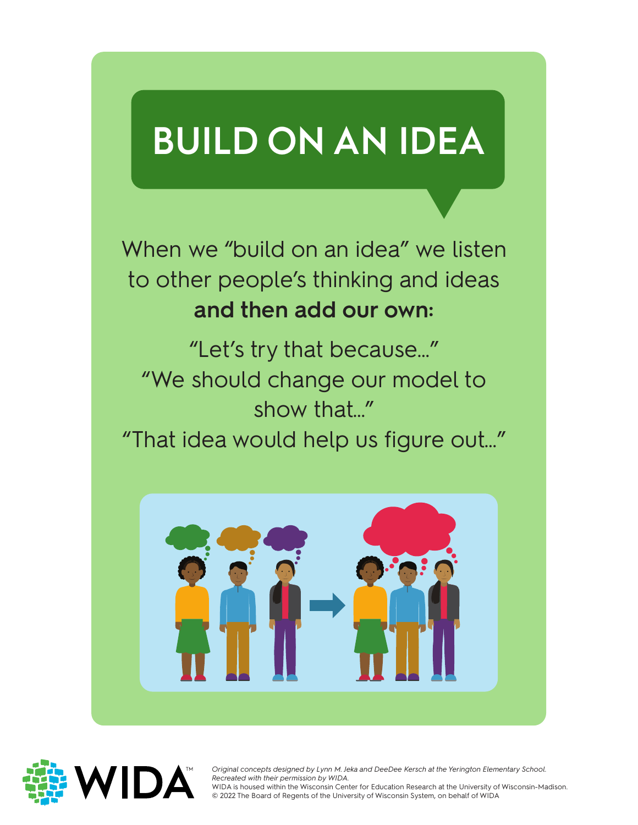# **BUILD ON AN IDEA**

When we "build on an idea" we listen to other people's thinking and ideas **and then add our own:**

"Let's try that because…" "We should change our model to show that…"

"That idea would help us figure out…"





Original concepts designed by Lynn M. Je<br>Recreated with their permission by WIDA. *Original concepts designed by Lynn M. Jeka and DeeDee Kersch at the Yerington Elementary School.*